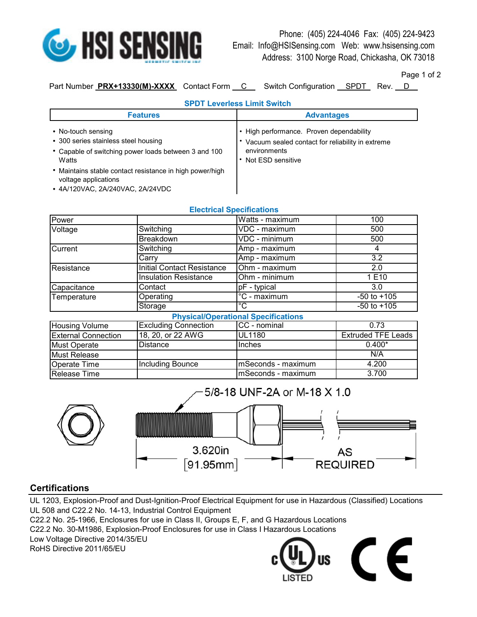

Phone: (405) 224-4046 Fax: (405) 224-9423 Email: Info@HSISensing.com Web: www.hsisensing.com Address: 3100 Norge Road, Chickasha, OK 73018

Page 1 of 2

Part Number **PRX+13330(M)-XXXX** Contact Form C Switch Configuration SPDT Rev. D

**SPDT Leverless Limit Switch**

| <b>SPDI LEVENESS LINIIL SWILCH</b>                                                                                                                                                                                                                  |                                                                                                                                   |  |  |
|-----------------------------------------------------------------------------------------------------------------------------------------------------------------------------------------------------------------------------------------------------|-----------------------------------------------------------------------------------------------------------------------------------|--|--|
| <b>Features</b>                                                                                                                                                                                                                                     | <b>Advantages</b>                                                                                                                 |  |  |
| • No-touch sensing<br>• 300 series stainless steel housing<br>• Capable of switching power loads between 3 and 100<br>Watts<br>• Maintains stable contact resistance in high power/high<br>voltage applications<br>• 4A/120VAC, 2A/240VAC, 2A/24VDC | • High performance. Proven dependability<br>Vacuum sealed contact for reliability in extreme<br>environments<br>Not ESD sensitive |  |  |

|                       |                                   | <b>Electrical Specifications</b>           |                       |
|-----------------------|-----------------------------------|--------------------------------------------|-----------------------|
| Power                 |                                   | Watts - maximum                            | 100                   |
| Voltage               | Switching                         | VDC - maximum                              | 500                   |
|                       | Breakdown                         | VDC - minimum                              | 500                   |
| Current               | Switching                         | Amp - maximum                              | 4                     |
|                       | Carry                             | Amp - maximum                              | 3.2                   |
| Resistance            | <b>Initial Contact Resistance</b> | Ohm - maximum                              | 2.0                   |
|                       | <b>Insulation Resistance</b>      | Ohm - minimum                              | 1E10                  |
| Capacitance           | Contact                           | pF - typical                               | 3.0                   |
| Temperature           | Operating                         | °C - maximum                               | $-50$ to $+105$       |
|                       | Storage                           | °C                                         | $-50$ to $+105$       |
|                       |                                   | <b>Physical/Operational Specifications</b> |                       |
| <b>Housing Volume</b> | <b>Excluding Connection</b>       | CC - nominal                               | 0.73                  |
| External Connection   | 18 20 or 22 $\Delta W$ G          | II II 1180                                 | <b>Extruded TFF L</b> |

| Housing Volume             | IExcluding Connection | TCC - nominal       | 0.73                      |
|----------------------------|-----------------------|---------------------|---------------------------|
| <b>External Connection</b> | 18, 20, or 22 AWG     | <b>UL1180</b>       | <b>Extruded TFE Leads</b> |
| Must Operate               | Distance              | <b>Inches</b>       | $0.400*$                  |
| Must Release               |                       |                     | N/A                       |
| <b>Operate Time</b>        | Including Bounce      | ImSeconds - maximum | 4.200                     |
| <b>Release Time</b>        |                       | mSeconds - maximum  | 3.700                     |



## **Certifications**

UL 1203, Explosion-Proof and Dust-Ignition-Proof Electrical Equipment for use in Hazardous (Classified) Locations UL 508 and C22.2 No. 14-13, Industrial Control Equipment

C22.2 No. 25-1966, Enclosures for use in Class II, Groups E, F, and G Hazardous Locations

C22.2 No. 30-M1986, Explosion-Proof Enclosures for use in Class I Hazardous Locations

RoHS Directive 2011/65/EU Low Voltage Directive 2014/35/EU